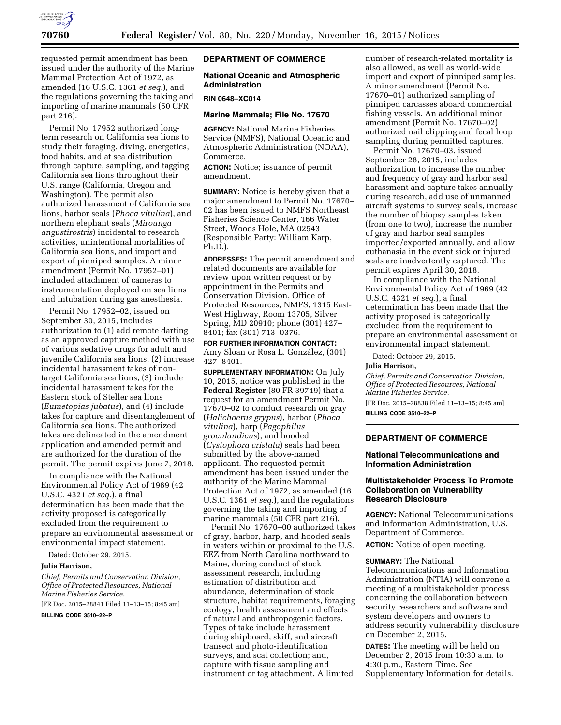

requested permit amendment has been issued under the authority of the Marine Mammal Protection Act of 1972, as amended (16 U.S.C. 1361 *et seq.*), and the regulations governing the taking and importing of marine mammals (50 CFR part 216).

Permit No. 17952 authorized longterm research on California sea lions to study their foraging, diving, energetics, food habits, and at sea distribution through capture, sampling, and tagging California sea lions throughout their U.S. range (California, Oregon and Washington). The permit also authorized harassment of California sea lions, harbor seals (*Phoca vitulina*), and northern elephant seals (*Mirounga angustirostris*) incidental to research activities, unintentional mortalities of California sea lions, and import and export of pinniped samples. A minor amendment (Permit No. 17952–01) included attachment of cameras to instrumentation deployed on sea lions and intubation during gas anesthesia.

Permit No. 17952–02, issued on September 30, 2015, includes authorization to (1) add remote darting as an approved capture method with use of various sedative drugs for adult and juvenile California sea lions, (2) increase incidental harassment takes of nontarget California sea lions, (3) include incidental harassment takes for the Eastern stock of Steller sea lions (*Eumetopias jubatus*), and (4) include takes for capture and disentanglement of California sea lions. The authorized takes are delineated in the amendment application and amended permit and are authorized for the duration of the permit. The permit expires June 7, 2018.

In compliance with the National Environmental Policy Act of 1969 (42 U.S.C. 4321 *et seq.*), a final determination has been made that the activity proposed is categorically excluded from the requirement to prepare an environmental assessment or environmental impact statement.

Dated: October 29, 2015.

#### **Julia Harrison,**

*Chief, Permits and Conservation Division, Office of Protected Resources, National Marine Fisheries Service.* 

[FR Doc. 2015–28841 Filed 11–13–15; 8:45 am]

**BILLING CODE 3510–22–P** 

## **DEPARTMENT OF COMMERCE**

# **National Oceanic and Atmospheric Administration**

#### **RIN 0648–XC014**

# **Marine Mammals; File No. 17670**

**AGENCY:** National Marine Fisheries Service (NMFS), National Oceanic and Atmospheric Administration (NOAA), Commerce.

**ACTION:** Notice; issuance of permit amendment.

**SUMMARY:** Notice is hereby given that a major amendment to Permit No. 17670– 02 has been issued to NMFS Northeast Fisheries Science Center, 166 Water Street, Woods Hole, MA 02543 (Responsible Party: William Karp, Ph.D.).

**ADDRESSES:** The permit amendment and related documents are available for review upon written request or by appointment in the Permits and Conservation Division, Office of Protected Resources, NMFS, 1315 East-West Highway, Room 13705, Silver Spring, MD 20910; phone (301) 427– 8401; fax (301) 713–0376.

**FOR FURTHER INFORMATION CONTACT:**  Amy Sloan or Rosa L. González, (301) 427–8401.

**SUPPLEMENTARY INFORMATION:** On July 10, 2015, notice was published in the **Federal Register** (80 FR 39749) that a request for an amendment Permit No. 17670–02 to conduct research on gray (*Halichoerus grypus*), harbor (*Phoca vitulina*), harp (*Pagophilus groenlandicus*), and hooded (*Cystophora cristata*) seals had been submitted by the above-named applicant. The requested permit amendment has been issued under the authority of the Marine Mammal Protection Act of 1972, as amended (16 U.S.C. 1361 *et seq.*), and the regulations governing the taking and importing of marine mammals (50 CFR part 216).

Permit No. 17670–00 authorized takes of gray, harbor, harp, and hooded seals in waters within or proximal to the U.S. EEZ from North Carolina northward to Maine, during conduct of stock assessment research, including estimation of distribution and abundance, determination of stock structure, habitat requirements, foraging ecology, health assessment and effects of natural and anthropogenic factors. Types of take include harassment during shipboard, skiff, and aircraft transect and photo-identification surveys, and scat collection; and, capture with tissue sampling and instrument or tag attachment. A limited

number of research-related mortality is also allowed, as well as world-wide import and export of pinniped samples. A minor amendment (Permit No. 17670–01) authorized sampling of pinniped carcasses aboard commercial fishing vessels. An additional minor amendment (Permit No. 17670–02) authorized nail clipping and fecal loop sampling during permitted captures.

Permit No. 17670–03, issued September 28, 2015, includes authorization to increase the number and frequency of gray and harbor seal harassment and capture takes annually during research, add use of unmanned aircraft systems to survey seals, increase the number of biopsy samples taken (from one to two), increase the number of gray and harbor seal samples imported/exported annually, and allow euthanasia in the event sick or injured seals are inadvertently captured. The permit expires April 30, 2018.

In compliance with the National Environmental Policy Act of 1969 (42 U.S.C. 4321 *et seq.*), a final determination has been made that the activity proposed is categorically excluded from the requirement to prepare an environmental assessment or environmental impact statement.

Dated: October 29, 2015.

#### **Julia Harrison,**

*Chief, Permits and Conservation Division, Office of Protected Resources, National Marine Fisheries Service.*  [FR Doc. 2015–28838 Filed 11–13–15; 8:45 am]

**BILLING CODE 3510–22–P** 

## **DEPARTMENT OF COMMERCE**

#### **National Telecommunications and Information Administration**

## **Multistakeholder Process To Promote Collaboration on Vulnerability Research Disclosure**

**AGENCY:** National Telecommunications and Information Administration, U.S. Department of Commerce.

**ACTION:** Notice of open meeting.

#### **SUMMARY:** The National

Telecommunications and Information Administration (NTIA) will convene a meeting of a multistakeholder process concerning the collaboration between security researchers and software and system developers and owners to address security vulnerability disclosure on December 2, 2015.

**DATES:** The meeting will be held on December 2, 2015 from 10:30 a.m. to 4:30 p.m., Eastern Time. See Supplementary Information for details.